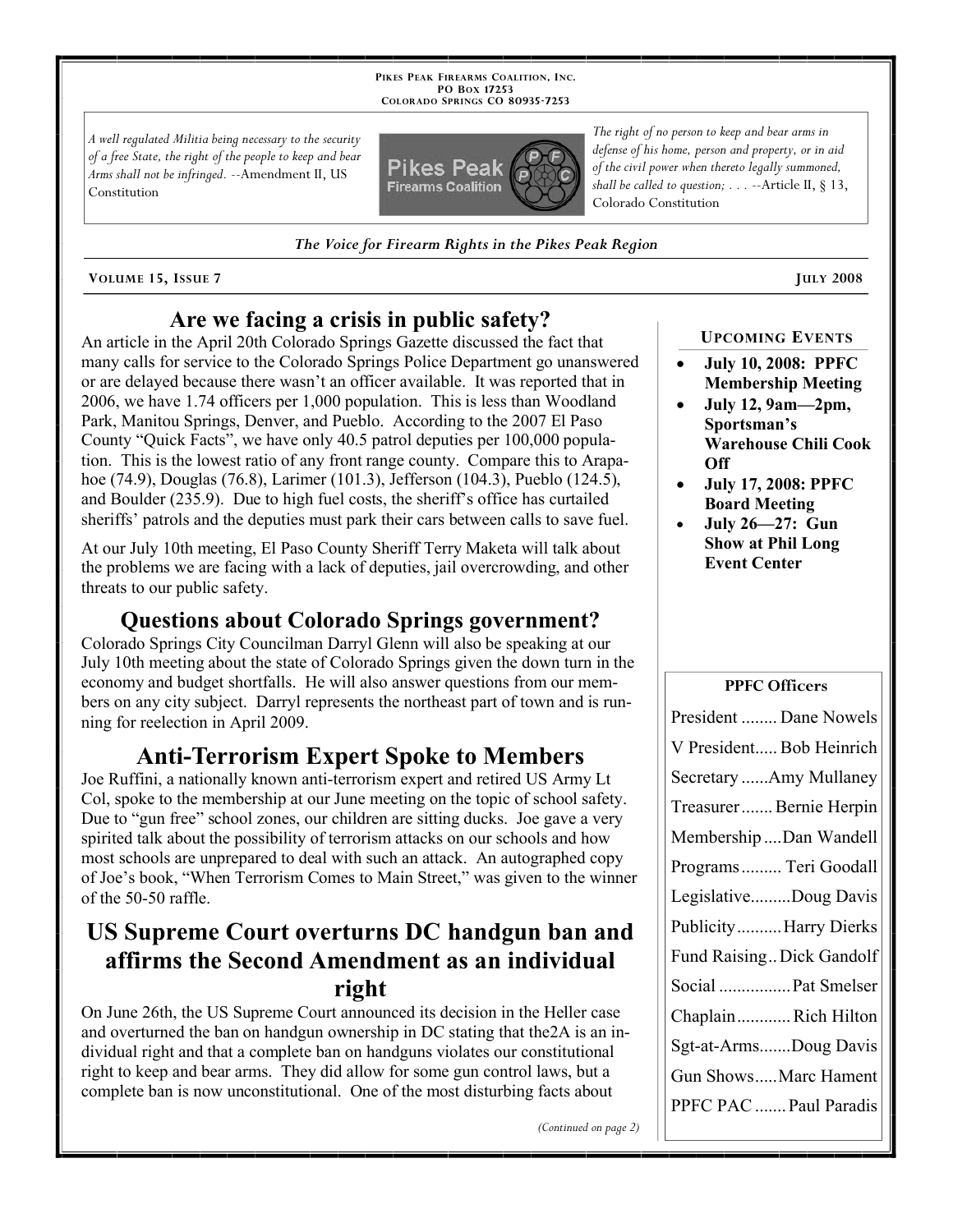**PIKES PEAK FIREARMS COALITION, INC. PO BOX 17253 COLORADO SPRINGS CO 80935 -7253**

*A well regulated Militia being necessary to the security of a free State, the right of the people to keep and bear Arms shall not be infringed.* --Amendment II, US Constitution



*The Voice for Firearm Rights in the Pikes Peak Region*

**VOLUME 15, ISSUE 7 JULY 2008**

## **Are we facing a crisis in public safety?**

An article in the April 20th Colorado Springs Gazette discussed the fact that many calls for service to the Colorado Springs Police Department go unanswered or are delayed because there wasn't an officer available. It was reported that in 2006, we have 1.74 officers per 1,000 population. This is less than Woodland Park, Manitou Springs, Denver, and Pueblo. According to the 2007 El Paso County "Quick Facts", we have only 40.5 patrol deputies per 100,000 population. This is the lowest ratio of any front range county. Compare this to Arapahoe (74.9), Douglas (76.8), Larimer (101.3), Jefferson (104.3), Pueblo (124.5), and Boulder (235.9). Due to high fuel costs, the sheriff's office has curtailed sheriffs' patrols and the deputies must park their cars between calls to save fuel.

At our July 10th meeting, El Paso County Sheriff Terry Maketa will talk about the problems we are facing with a lack of deputies, jail overcrowding, and other threats to our public safety.

### **Questions about Colorado Springs government?**

Colorado Springs City Councilman Darryl Glenn will also be speaking at our July 10th meeting about the state of Colorado Springs given the down turn in the economy and budget shortfalls. He will also answer questions from our members on any city subject. Darryl represents the northeast part of town and is running for reelection in April 2009.

# **Anti-Terrorism Expert Spoke to Members**

Joe Ruffini, a nationally known anti-terrorism expert and retired US Army Lt Col, spoke to the membership at our June meeting on the topic of school safety. Due to "gun free" school zones, our children are sitting ducks. Joe gave a very spirited talk about the possibility of terrorism attacks on our schools and how most schools are unprepared to deal with such an attack. An autographed copy of Joe's book, "When Terrorism Comes to Main Street," was given to the winner of the 50-50 raffle.

# **US Supreme Court overturns DC handgun ban and affirms the Second Amendment as an individual right**

On June 26th, the US Supreme Court announced its decision in the Heller case and overturned the ban on handgun ownership in DC stating that the2A is an individual right and that a complete ban on handguns violates our constitutional right to keep and bear arms. They did allow for some gun control laws, but a complete ban is now unconstitutional. One of the most disturbing facts about

*The right of no person to keep and bear arms in defense of his home, person and property, or in aid of the civil power when thereto legally summoned, shall be called to question; . . .* --Article II, § 13, Colorado Constitution

 **July 10, 2008: PPFC Membership Meeting**

**UPCOMING EVENTS**

- **July 12, 9am—2pm, Sportsman's Warehouse Chili Cook Off**
- **July 17, 2008: PPFC Board Meeting**
- **July 26—27: Gun Show at Phil Long Event Center**

### **PPFC Officers**

| President  Dane Nowels    |
|---------------------------|
| V President Bob Heinrich  |
| Secretary Amy Mullaney    |
| Treasurer  Bernie Herpin  |
| Membership Dan Wandell    |
| Programs  Teri Goodall    |
| LegislativeDoug Davis     |
| PublicityHarry Dierks     |
| Fund Raising Dick Gandolf |
| Social  Pat Smelser       |
| ChaplainRich Hilton       |
| Sgt-at-ArmsDoug Davis     |
| Gun ShowsMarc Hament      |
| PPFC PAC  Paul Paradis    |

*(Continued on page 2)*